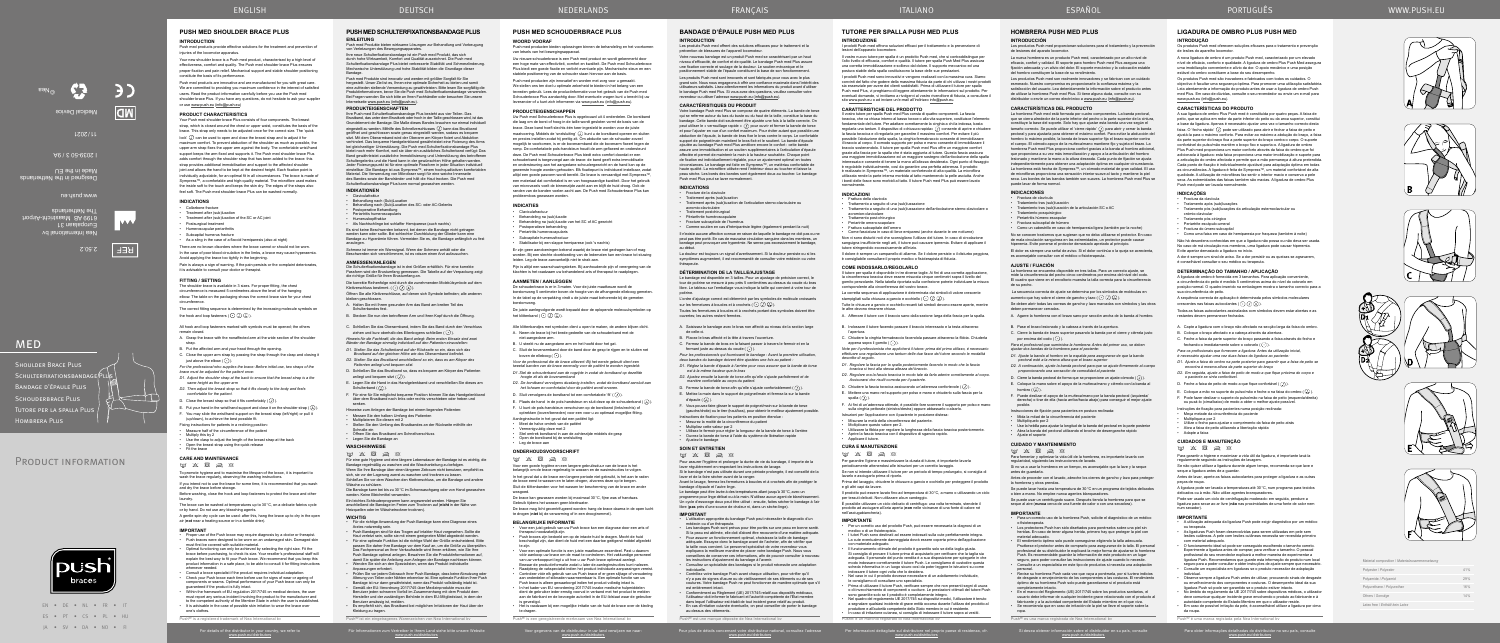EN • DE • NL • FR • IT ES • PT • CS • PL • HU JA • SV • DA • NO • FI

PRODUCT INFORMATION

**MED** 

Voor gegevens van de distributeur in uw land verwijzen we naar: www.push.eu/distributors

**Push® is een geregistreerde merknaam van Nea International bv** 

prévention de blessures de l'appareil locomoteur. Votre nouveau bandage est un produit Push med se caractérisant par un haut niveau d'efficacité, de confort et de qualité. Le bandage Push med Plus assure<br>une fixation correcte et soulage de la douleur. Le soutien mécanique et le<br>positionnement stable de l'épaule constituent la base de son fonctio

### **BANDAGE D'ÉPAULE PUSH MED PLUS INTRODUCTION**

### Les produits Push med offrent des solutions efficaces pour le traitement et la

Les produits Push med sont innovants et sont fabriqués pour vous avec le plus grand soin. Nous nous engageons à offrir une confiance maximale dans l'intérêt des<br>utilisateurs satisfaits. Lisez attentivement les informations du produit avant d'utiliser<br>le bandage Push med Plus. Si vous avez des questi revendeur ou utiliser l'adresse www.push.eu (info@push.eu).

### **CARACTÉRISTIQUES DU PRODUIT**

Le bandage est disponible en 3 tailles. Pour un ajustage de précision correct, le<br>tour de poitrine se mesure à peu près 5 centimètres au-dessus du coude du bras<br>libre. Le tableau sur l'emballage vous indique la taille qui poitrine.

L'ordre d'ajustage correct est déterminé par les symboles de molécule croissants sur les fermetures à boucles et à crochets  $(\cdot)$   $(\cdot)$   $(\lambda)$ .

Votre bandage Push med Plus se compose de quatre éléments. La bande de torse qui se referme autour du bas du buste ou du haut de la taille, constitue la base du bandage. Cette bande doit seulement être ajustée une fois à la taille correcte. On peut utiliser le « verrouillage rapide »  $\overline{O}$  pour ouvrir et fermer la bande de torse et pour l'ajuster en vue d'un confort maximum. Pour éviter autant que possible une abduction de l'épaule, la bande de bras fixe le bras contre le corps. Le confortable support de poignet/main maintient le bras fixé et le soutient. La bande d'épaule<br>ajoutée au bandage Push med Plus améliore encore le confort : cette bande<br>assure une immobilisation et un soutien supplémentaires à l'articul de fixation est individuellement réglable, pour un ajustement optimal en toutes<br>circonstances. Le bandage est faite en Sympress™, un matériau confortable de<br>haute qualité. La microfibre utilisée rend l'intérieur doux au t peau sèche. Les bords des bandes sont également doux au toucher. Le bandage Push med Plus peut se laver normalement.

*manière confortable au corps du patient.*  D. Fermez la bande de torse afin qu'elle s'ajuste confortablement  $(Q)$ ).

E. Mettez la main dans le support de poignet/main et fermez-la sur la bande d'épaule  $(\Omega)$ 

### **INDICATIONS**

Fracture de la clavicule<br>Traitement après (sub)luxation

• Traitement après (sub)luxation • Traitement après (sub)luxation de l'articulation sterno-claviculaire ou acromio‑claviculaire • Traitement postchirurgical

Périarthrite huméroscapulaire

• Fracture subcapitale de l'humérus

• Comme soutien en cas d'hémiparésie légère (également pendant la nuit) Il n'existe aucune affection connue en raison de laquelle le bandage ne doit pas ou ne peut pas être porté. En cas de mauvaise circulation sanguine dans les membres, un bandage peut provoquer une hyperémie. Ne serrez pas excessivement le bandage,

• L'utilisation appropriée du bandage Push peut nécessiter le diagnostic d'un<br>médecin ou d'un thérapeute.<br>• Les bandages Push sont prévus pour être portés sur une peau en bonne santé.<br>• Si la peau est abimée, elle doit d' la taille vous convient. Le personnel spécialisé de votre revendeur vous expliquera la meilleure manière de placer votre bandage Push. Nous vous

au début. La douleur est toujours un signal d'avertissement. Si la douleur persiste ou si les symptômes augmentent, il est recommandé de consulter votre médecin ou votre thérapeute.

#### **DÉTERMINATION DE LA TAILLE/AJUSTAGE**

• Conformément au Règlement (UE) 2017/745 relatif aux dispositifs médicaux,<br>l'utilisateur doit informer le fabricant et l'autorité compétente de l'État membre<br>dans lequel l'utilisateur est établi de tout incident grave rel au-dessus des vêtements.

Pour plus de détails concernant votre distributeur national, consultez l'adresse<br>www.push.eu/distributors

Push® est une marque déposée de Nea In

Toutes les fermetures à boucles et à crochets portant des symboles doivent être ouvertes; les autres restent fermées.

A. Saisissez le bandage avec le bras non affecté au niveau de la section large de celle-ci.

B. Placez le bras affecté et la tête à travers l'ouverture.

C. Fermez la bande de bras en la faisant passer à travers le fermoir et en la

fermant juste au-dessus du coude  $(\overrightarrow{\cdot})$ .

*Pour les professionnels qui fournissent le bandage : Avant la première utilisation, deux bandes du bandage doivent être ajustées une fois au patient :*

*D1. Réglez la bande d'épaule à l'arrière pour vous assurer que la bande de torse est à la même hauteur que le bras D2. Ajustez ensuite la bande de torse afin qu'elle s'ajuste parfaitement et de* 

- Für die richtige Anwendung der Push Bandage kann eine Diagnose eines
- Arztes notwendig sein. Push Bandagen sind für das Tragen auf intakter Haut vorgesehen. Sollte die
- Haut verletzt sein, sollte sie mit einem geeigneten Mittel abgedeckt werden.<br>Für eine optimale Funktion ist die richtige Wahl der Größe entscheidend. Bitte<br>passen Sie daher Inre Bandage vor dem Kauf an, um die Größe zu übe • Wenden Sie sich an den Spezialisten, wenn das Produkt individuelle Anpassungen erfordert.
- 
- Prüfen Sie vor jedem Gebrauch Ihrer Push Bandage, dass keine Abnutzung oder<br>Alterung von Teilen oder Nähten erkennbar ist. Eine optimale Funktion Ihrer Push<br>Bandage ist nur dann gewährleistet, wenn das Produkt vollständ
- Benutzer jeden schweren Vorfall im Zusammenhang mit dem Produkt dem Hersteller und der zuständigen Behörde in dem EU-Mitgliedstaat, in dem der Benutzer ansässig ist, melden.
- Es empfiehlt sich, das Brustband bei möglichen Irritationen der Haut über der Kleidung zu tragen.
- Push® ist ein eingetragenes Warenzeichen von Nea International b

Für Informationen zum Vertreiber in Ihrem Land siehe bitte unsere Website<br>www.push.eu/distributors

F. Vous pouvez faire glisser le support de poignet/main sur la bande de torse

(gauche/droite) ou le tirer (haut/bas), pour obtenir le meilleur ajustement possible. Instructions de fixation pour les patients en position étendue :

• Mesurez la moitié de la circonférence du patient

• Multipliez cette valeur par 2 • Utilisez le fermoir pour régler la longueur de la bande de torse à l'arrière

• Ouvrez la bande de torse à l'aide du système de libération rapide • Ajustez le bandage

### **SOIN ET ENTRETIEN**

 $\boxtimes$   $\boxtimes$   $\boxtimes$   $\boxtimes$ 

#### ten wirksame Lösungen zur Behandlung und Vorbeugung von Verletzungen des Bewegungsapparates.

Pour assurer l'hygiène et prolonger la durée de vie du bandage, il importe de la laver régulièrement en respectant les instructions de lavage. Si le bandage n'est pas utilisée durant une période prolongée, il est conseillé de la

lhre neue Schulterfixationsbandage ist ein Push med Produkt, das sich<br>durch hohe Wirksamkeit, Komfort und Qualität auszeichnet. Die Push med<br>Schulterfixationsbandage Plus bietet verbesserte Stabilität und Schmerzlinderung. Bandage.

laver et de la faire sécher avant de la ranger. Avant le lavage, fermez les fermetures à boucles et à crochets afin de protéger le

bandage d'épaule et l'autre linge. Le bandage peut être lavée à des températures allant jusqu'à 30°C, avec un programme pour linge délicat ou à la main. N'utilisez aucun agent de blanchissement.

Un cycle d'essorage doux peut être utilisé : ensuite, faites sécher le bandage à l'air libre (**pas** près d'une source de chaleur ni, dans un sèche‑linge). **IMPORTANT**

- Claviculafraktur<br>Behandlung nach (Sub)Luxation
- Behandlung nach (Sub)Luxation Behandlung nach (Sub)Luxation des SC- oder AC-Gelenks Postoperative Behandlung Periartritis humeroscapularis
- Humeruskopffraktur
- Als Nachtschlinge bei schlaffer Hemiparese (auch nachts)

Es sind keine Beschwerden bekannt, bei denen die Bandage nicht getragen werden kann oder sollte. Bei schlechter Durchblutung der Glieder kann eine Bandage zu Hyperämie führen. Vermeiden Sie es, die Bandage anfänglich zu fest anzulegen.

> conseillons de conserver ces informations, afin de pouvoir consulter à nouveau les instructions d'ajustement du bandage à l'avenir. • Consultez un spécialiste des bandages si le produit nécessite une adaptation

individuelle. • Contrôlez votre bandage Push avant chaque utilisation, pour vérifier qu'il

n'y a pas de signes d'usure ou de vieillissement de ses éléments ou de ses coutures. Votre bandage Push ne peut fonctionner de manière optimale que s'il est entièrement intact.

### **INTRODUCCIÓN** Los productos Push med proporcionan soluciones para el tratamiento y la prevención de lesiones del aparato locomotor.

Los productos Push med son realmente innovadores y se fabrican con un cuidado esmerado. Nuestro compromiso es proporcionarle la confianza máxima y la satisfacción del usuario. Lea detenidamente la información sobre el producto antes<br>de utilizar la hombrera Push med Plus. Si tiene alguna duda, consulte con su<br>distribuidor o envíe un correo electrónico a www.push.eu (info

 La secuencia correcta de ajuste se determina por los símbolos de moléculas en aumento que hay sobre el cierre de gancho y lazo  $(\bigodot \bigodot \bigodot).$ 

### **WASCHHINWEISE**

### $\boxtimes \, \boxtimes \, \boxtimes \, \boxtimes \, \boxtimes$

Für eine gute Hygiene und eine längere Lebensdauer der Bandage ist es wichtig, die Bandage regelmäßig zu waschen und die Waschanleitung zu befolgen. Wenn Sie Ihre Bandage über einen längeren Zeitraum nicht benutzen, empfiehlt es

sich, sie vor der Lagerung zuerst zu waschen und trocknen zu lassen. Schließen Sie vor dem Waschen den Klettverschluss, um die Bandage und andere

Wäsche zu schützen. Die Bandage kann bei bis zu 30°C im Schonwaschgang oder von Hand gewaschen

werden. Keine Bleichmittel verwenden.

Ein leichtes Schleuderprogramm kann angewendet werden. Hängen Sie<br>anschließend die Bandage im Freien zum Trocknen auf (**nicht** in der Nähe von<br>Heizquellen oder im Wäschetrockner trocknen).

#### **WICHTIG**

• El rendimiento óptimo solo puede conseguirse eligiendo la talla adecuada. Pruébese el protector antes de comprarlo para asegurarse de la talla. El personal profesional de su distribuidor le explicará la mejor forma de ajustarse la hombrera Push. Es recomendable guardar la información de este producto en un lugar seguro, para poder consultar las instrucciones de ajuste cuando lo necesite. • Consulte a un especialista en este tipo de productos si necesita una adaptación personal.<br>• Revise su hombrera Push cada vez que vaya a ponérsela, por si tuviera indicios<br>de desgaste o envejecimiento de los componentes o las costuras. El rendimiento<br>óptimo de su hombrera Push solo puede garantizarse s

ropa.  $P_{\text{ueb}}$  $R_{\text{ee}}$  una marc

Bandage d'épaule Plus SCHOUDERBRACE PLUS TUTORE PER LA SPALLA PLU

#### **PUSH MED SCHULTERFIXATIONSBANDAGE PLUS EINLEITUNG**

- B. Stecken Sie nun den betroffenen Arm und Ihren Kopf durch die Öffnung.
- C. Schließen Sie das Oberarmband, indem Sie das Band durch den Verschluss ziehen und kurz oberhalb des Ellenbogens schließen  $(\bigcap)$ .
- *Hinweis für die Fachkraft, die das Band anlegt: Beim ersten Einsatz sind zwei*  Bänder der Bandage einmalig individuell auf den Patienten einzustelle
- *D1. Stellen Sie das Schulterband auf der Rückseite so ein, dass sich das*  Brustband auf der gleichen Höhe wie das Oberarmband befinde.
- *D2. Stellen Sie das Brustband anschließend so ein, dass es am Körper des Patienten anliegt und bequem sitzt.*
- D. Schließen Sie das Brustband so, dass es bequem am Körper des Patienten anliegt und bequem sitzt  $(\sqrt{)}$ )
- E. Legen Sie die Hand in das Handgelenkband und verschließen Sie dieses am Schulterband  $(\Omega)$ )
- F. Für eine für Sie möglichst bequeme Position können Sie das Handgelenkband über dem Brustband nach links oder rechts verschieben oder heben und senken.
- Hinweise zum Anlegen der Bandage bei einem liegenden Patienten:
- 
- Messen Sie den halben Umfang des Patienten Multiplizieren Sie diesen mit 2 • Stellen Sie den Umfang des Brustbandes an der Rückseite mithilfe der
- 
- Schnalle ein Öffnen Sie das Brustband am Schnellverschluss • Legen Sie die Bandage an

#### Collarbone fracture • Treatment after (sub)luxation

- Freatment after (sub)luxation of the SC or AC joint
- Postsurgical treatment
- Humeroscapular periarthriti
- Subcapital humerus fracture
- As a sling in the case of a flaccid hemiparesis (also at night) There are no known disorders where the brace cannot or should not be worr

Push med Produkte sind innovativ und werden mit größter Sorgfalt für Sie hergestellt. Unser Ziel ist es, Ihnen eine optimale Sicherheit zu bieten und somit<br>eine zufrieden stellende Verwendung zu gewährleisten. Bitte lesen Sie sorgfältig die<br>Produktinformationen, bevor Sie die Push med Schulterf Bei Fragen wenden Sie sich bitte an Ihren Fachhändler oder besuchen Sie unsere Internetseite www.push.eu (info@push.eu).

In the case of poor blood circulation in the limbs, a brace may cause hyperaemia. Avoid applying the brace too tightly in the beginning.

#### **PRODUKTEIGENSCHAFTEN**

The correct fitting sequence is determined by the increasing molecule symbols on the hook and loop fasteners  $(\cdot)$   $(\cdot)$   $(\lambda)$ .

Ihre Push med Schulterfixationsbandage Plus besteht aus vier Teilen. Das Brustband, das unter dem Brustkorb oder hoch in der Taille geschlossen wird, ist das Grundelement der Bandage. Die Maße dieses Bandes brauchen nur einmal individuell<br>eingestellt zu werden. Mithilfe des Schnellverschlusses (=) kann das Brustband<br>geöffnet und geschlossen sowie genau eingestellt werden, sodas verhindert. Das bequeme Handgelenkband gewährleistet eine Fixierung des Arms<br>bei gleichzeitiger Unterstützung. Die Push med Schulterfixationsbandage Plus<br>bietet noch mehr Komfort, weil sie über ein zusätzliches Schulterban Band gewährleistet zusätzliche Immobilisierung und Unterstützung des betroffenen<br>Schultergelenks und die Hand kann in der gewünschten Höhe gehalten werden.<br>Jeder Fixierungspunkt ist für eine optimale Passform in jeder Sit Material. Die Verwendung von Mikrofaser sorgt für eine weiche Innenseite des Bandes sowie der Bandränder und hält die Haut trocken. Die Push med Schulterfixationsbandage Plus kann normal gewaschen werden.

## **INDIKATIONEN**

Schmerz ist immer ein Warnsignal. Wenn der Schmerz anhält oder die Beschwerden sich verschlimmern, ist es ratsam einen Arzt aufzusuchen.

### **ANMESSEN/ANLEGEN**

Die Schulterfixationsbandage ist in drei Größen erhältlich. Für eine korrekte Passform wird der Brustumfang gemessen. Die Tabelle auf der Verpackung zeigt die richtige Größe für Ihren Brustumfang an. Die korrekte Reihenfolge wird durch die zunehmenden Molekülsymbole auf dem

Klettverschluss bestimmt.  $(\bigodot \bigodot \bigodot)$ .

Öffnen Sie alle Klettverschlüsse, auf denen sich Symbole befinden; alle anderen bleiben geschlossen.

A. Halten Sie mit Ihrem gesunden Arm das Band am breiten Teil des Schulterbandes fest.

## **HOMBRERA PUSH MED PLUS**

La nueva hombrera es un producto Push med, caracterizado por un alto nivel de eficacia, confort y calidad. El soporte para hombro Push med Plus asegura una fijación adecuada y un alivio del dolor. El soporte mecánico y la colocación estable

del hombro constituyen la base de su rendimiento.

Pijn is altijd een waarschuwingsteken. Bij aanhoudende pijn of verergering van de klachten is het raadzaam uw behandelend arts of therapeut te raadpleger.

**CARACTERÍSTICAS DEL PRODUCTO**

E. Plaats de hand in de pols-handsteun en sluit deze op de schouderband ( $(\lambda)$ ). F. U kunt de pols-handsteun verschuiven op de borstband (links/rechts) of optrekken (boven/beneden) voor een voor u zo optimaal mogelijke fitting.

• Leg de brace aan **ONDERHOUDSVOORSCHRIFT**  $\boxtimes \hspace{0.1cm} \boxtimes \hspace{0.1cm} \boxtimes \hspace{0.1cm} \boxtimes \hspace{0.1cm} \boxtimes \hspace{0.1cm} \boxtimes \hspace{0.1cm} \boxtimes$ 

La hombrera Push med está formada por cuatro componentes. La banda pectoral, que se cierra alrededor de la parte inferior del pecho o la parte superior de la cintura, constituye la base del soporte. Solo hay que ajustar esta banda una vez según el tamaño correcto. Se puede utilizar el 'cierre rápido' para abrir y cerrar la banda pectoral y para ajustarla para obtener el máximo confort. Para evitar la abducción del hombro lo máximo posible, la banda de brazo superior fija el brazo superior contra el cuerpo. El cómodo apoyo de la muñeca/mano mantiene fijo y sujeta el brazo. La hombrera Push med Plus proporciona confort gracias a la banda al hombro adicional,<br>que proporciona a su vez más inmovilización y apoyo a la articulación del hombro<br>lesionado y mantiene la mano a la altura deseada. Cada pun independientemente para obtener una adaptación óptima en cualquier circun La hombrera está hecha de Sympress™, un cómodo material de gran calidad. El uso de microfibras proporciona una sensación interior suave al tacto y mantiene la piel seca. Los bordes de las bandas también son suaves. La hombrera Push med Plus se

Si desea obtener información sobre el distribuidor en su país, consulte<br>www.push.eu/distributors

puede lavar de forma normal. **INDICACIONES** • Fractura de clavícula

• Tratamiento tras (sub)luxación • Tratamiento tras (sub)luxación de la articulación SC o AC

• Tratamiento posquirúrgico Periartritis húmero-esc • Fractura subcapital de húmero

• Raadpleeg de vakspecialist indien het product individuele aanpassingen vereist.<br>Controleer vóór elk gebruik van uw Push brace of er geen slijtage of veroudering<br>aan onderdelen of stiknaden waarneembaar is. Een optimale f dient de gebruiker ieder ernstig voorval in verband met het product te melden aan de fabrikant en de bevoegde autoriteit in de EU-lidstaat waar de gebruiker is gevestigd. • Het is raadzaam bij een mogelijke irritatie van de huid de brace over de kleding

• Como un cabestrillo en caso de hemiparesia ligera (también por la noche) No se conocen trastornos que sugieran que no deba utilizarse el protector. En caso de mala circulación sanguínea en las extremidades, un protector puede causar hiperemia. Evite ponerse el protector demasiado apretado al principio. El dolor es siempre una señal de aviso. Si el dolor continúa o la queja se acrecienta,

es aconsejable consultar con el médico o fisioterapeuta.

**AJUSTE / FIJACIÓN**

La hombrera se encuentra disponible en tres tallas. Para un correcto ajuste, se mide la circunferencia del pecho cinco centímetros por encima del nivel del codo. El cuadro que viene en el envoltorio muestra la talla correcta para la circunferencia

de su pecho.

Se deben abrir todas las correas de gancho y lazo marcadas con símbolos y las otras

deben permanecer cerradas.

por encima del codo  $(\cdot)$ ).

hombro  $(\overline{\lambda})$ .

A. Agarre la hombrera con el brazo sano por sección ancha de la banda al hombro.

B. Pase el brazo lesionado y la cabeza a través de la apertura.

pectoral esté a la misma altura que el brazo superio

C. Cierre la banda de brazo superior pasando la banda por el cierre y ciérrela justo

- Frattura della clavicola • Trattamento a seguito di una (sub)lussazione
- Trattamento a seguito di una (sub)lussazione dell'articolazione sterno‑clavicolare o
- acromion-clavicolare Trattamento post-chirurgico
- Periartrite omero-scapolar
- Frattura subcapitale dell'omer

*Para el profesional que suministra la hombrera: Antes del primer uso, se deben ajustar dos bandas de la hombrera para el paciente: D1. Ajuste la banda al hombro en la espalda para asegurarse de que la banda* 

*D2. A continuación, ajuste la banda pectoral para que se ajuste firmemente al cuerpo proporcionando una sensación de comodidad al paciente*  D. Cierre la banda pectoral de forma que se proporcione un ajuste cómodo ( $\Box$ ). E. Coloque la mano sobre el apoyo de la muñeca/mano y ciérrelo con la banda al

F. Puede deslizar el apoyo de la muñeca/mano por la banda pectoral (izquierda/ derecha) o tirar de ella (hacia arriba/hacia abajo) para conseguir el mejor ajuste

• Multiplíquelo por 2<br>• Use la hebilla para ajustar la longitud de la banda del pectoral en la parte posterior<br>• Abra la banda del pectoral utilizando el broche de desenganche rápido

posible.

Instrucciones de fijación para pacientes en postura reclinada: • Mida la mitad de la circunferencia del paciente

- B. Indossare il tutore facendo passare il braccio interessato e la testa attraverso l'apertura.
- C. Chiudere la cinghia fermabraccio facendola passare attraverso la fibbia. Chiuderla appena sopra il gomito  $(\bigodot)$ .

• Ajuste el soporte **CUIDADO Y MANTENIMIENTO**

E p l b g Para fomentar y optimizar la vida útil de la hombrera, es importante lavarla con regularidad, siguiendo las instrucciones de lavado. Si no va a usar la hombrera en un tiempo, es aconsejable que la lave y la seque

antes de guardarla.

Antes de proceder con el lavado, abroche los cierres de gancho y lazo para proteger

la hombrera y otras prendas.

Se puede lavar hasta una temperatura de 30°C en un programa de tejidos delicados

Se puede usar un centrifugado suave. Después tienda la hombrera para que se seque al aire (**nunca** cerca de una fuente de calor o con una secadora).

**IMPORTANTE**

• Para un correcto uso de la hombrera Push, solicite el diagnóstico de un médico o fisioterapeuta. • Los protectores Push han sido diseñados para ponérselos sobre una piel sin heridas. En caso de tener alguna herida, primero hay que proteger la piel con

- Per un corretto uso del prodotto Push, può essere necessaria la diagnosi di un medico o di un fisioterapista. • I tutori Push sono destinati ad essere indossati sulla cute perfettamente integra.
- La cute eventualmente danneggiata dovrà essere coperta prima dell'applicazione con materiale adeguato. • Il funzionamento ottimale del prodotto è garantito solo se della taglia giusta.
- Si consiglia di provare il tutore prima di acquistario per verificare che la taglia sia<br>adeguata. Il personale del punto vendita è a sua disposizione per spiegarte in che<br>modo indossare correttamente il tutore Push. Le con
- 
- le consigliamo di consultare uno specialista.<br>Prima di utilizzare il tutore Push, verificare sempre che non presenti segni di usura
- 
- Prima di utilizzare il tutore Push, verificare sempre che non presenti segni di usura<br>
o di invecchiamento di componenti o cuclture. Le prestazioni ottimali del tutore Push<br>
sono garantite solo se il prodotto è completam
- In caso di irritazione cutanea, si consiglia di indossare il tutore sopra ai vestiti.
- Push® è un marchio registrato di Nea International bv
- Per informazioni dettagliate sul distributore nel proprio paese di residenza, cfr.<br>www.push.eu/distributors

material adecuado.

npletamente intacto.

o bien a mano. No emplee nunca agentes blanque

• En el marco del Reglamento (UE) 2017/745 sobre los productos sanitarios, el usuario debe informar de cualquier incidente grave relacionado con el producto al fabricante y a la autoridad competente del Estado miembro en el que viva. • Se recomienda que en caso de irritación de la piel se lleve el soporte sobre la

Para obter informações detalhadas do distribuidor no seu país, consulte<br>www.push.eu/distributors

Push® é uma marca registada pela Nea International b

Shoulder Brace Plus

Hombrera Plus

SCHULTERFIXATIONSBANDAGE PLUS

# **PUSH MED SHOULDER BRACE PLUS**

**INTRODUCTION**

Push med products provide effective solutions for the treatment and prevention of injuries of the locomotor apparatus.

Your new shoulder brace is a Push med product, characterised by a high level of effectiveness, comfort and quality. The Push med shoulder brace Plus ensures proper fixation and pain relief. Mechanical support and stable shoulder positioning constitute the basis of its performance.

Push med products are innovative and are manufactured for you with great care. We are committed to providing you maximum confidence in the interest of satisfied users. Read the product information carefully before you use the Push med shoulder brace Plus. If you have any questions, do not hesitate to ask your supplier or use www.push.eu (info@push.eu)

> é conselhável consultar o seu médico ou terapeuta. **DETERMINAÇÃO DO TAMANHO / APLICAÇÃO** A ligadura de ombro é fornecida em 3 tamanhos. Para aplicação conveniente a circunferência do peito é medida 5 centímetros acima do nível do cotovelo em posição normal. O quadro inserido na embalagem mostra o tamanho correcto para a

crescentes nas faixas autocolantes ( $\bigodot$  $\bigodot$  $\bigodot$ ).

#### **PRODUCT CHARACTERISTICS**

Your Push med shoulder brace Plus consists of four components. The breast strap, which is closed around the chest or upper waist, constitutes the basis of the brace. This strap only needs to be adjusted once for the correct size. The 'quick lock'  $\overline{L}$  can be used to open and close the breast strap and to adjust it for maximum comfort. To prevent abduction of the shoulder as much as possible, the upper arm strap fixes the upper arm against the body. The comfortable wrist/hand support keeps the arm fixed and supports it. The Push med shoulder brace Plus adds comfort through the shoulder strap that has been added to the brace: this strap provides additional immobilisation and support to the affected should joint and allows the hand to be kept at the desired height. Each fixation point is individually adjustable, for an optimal fit in all circumstances. The brace is made of Sympress™, a comfortable and high-quality material. The microfibre used makes the inside soft to the touch and keeps the skin dry. The edges of the straps also feel soft. The Push med shoulder brace Plus can be washed normally.

> D. Feche a faixa de peito de modo a que fique confortável  $(\overline{J})$ ). E. Coloque a mão no suporte do pulso/mão e feche-o na faixa do ombro ( $\overline{(\lambda)}$ ) F. Pode fazer deslizar o suporte do pulso/mão na faixa de peito (esquerda/direita) ou puxá-lo (cima/baixo) de modo a obter o melhor ajuste possível. Instruções de fixação para pacientes numa posição reclinada: • Meça metade da circunferência do paciente

**CUIDADOS E MANUTENÇÃO**  $\boxtimes$   $\boxtimes$   $\boxtimes$   $\boxtimes$ 

**INDICATIONS**

**• A utilização adequada da ligadura Push pode exigir diagnóstico por um médico** ou terapeuta. • As ligaduras Push foram desenvolvidas para serem utilizadas em pele sem lesões cutâneas. A pele com lesões cutâneas necessita ser revestida primeiro

Pain is always a sign of warning. If the pain persists or the complaint deteriorates, it is advisable to consult your doctor or therapist.

> - O funcionamento ideal só pode ser conseguido escolhendo o tamanho correto.<br>Experimente a ligadura antes de comprar, para verificar o tamanho. O pessoal<br>profissional do seu revendedor explicará a melhor maneira de experim ligadura Push. Recomendamos que guarde esta informação do produto num local seguro para a poder consultar e obter instruções de ajuste sempre que necessário. • Consulte um especialista em ligaduras se o produto necessitar de adaptação individual. • Observe sempre a ligadura Push antes de utilizar, procurando sinais de desgaste ou envelhecimento dos componentes e costuras. O desempenho ideal da sua ligadura Push só pode ser garantido se o produto estiver intacto. - No âmbito do regulamento da UE 2017/745 sobre dispositivos médicos, o utilizador<br>deve comunicar qualquer incidente grave envolvendo o produto ao fabricante e à<br>autoridade competente do Estado-Membro em que o utilizador r • Em caso de possível irritação da pele, é aconselhável utilizar a ligadura por cima

#### **FITTING / SETTING**

The shoulder brace is available in 3 sizes. For proper fitting, the chest circumference is measured 5 centimetres above the level of the hanging elbow. The table on the packaging shows the correct brace size for your chest circumference.

All hook and loop fasteners marked with symbols must be opened; the others remain closed.

- A. Grasp the brace with the nonaffected arm at the wide section of the shoulder strap.
- B. Put the affected arm and your head through the opening. C. Close the upper arm strap by passing the strap through the clasp and closing it
- iust above the elbow  $(\cdot)$ ). *For the professional who supplies the brace: Before initial use, two straps of the*
- *brace must be adjusted for the patient once: D1. Adjust the shoulder strap at the back to ensure that the breast strap is a the*
- *same height as the upper arm D2. Then adjust the breast strap so that it fits closely to the body and feels*
- *comfortable for the patient.*  D. Close the breast strap so that it fits comfortably  $(Q)$ ).
- E. Put your hand in the wrist/hand support and close it on the shoulder strap ( $\Omega$ ).
- . You may slide the wrist/hand support on the breast strap (left/right) or pull it (up/down), to achieve the best possible fit.
- Fixing instructions for patients in a reclining position:
- Measure half of the circumference of the patient
- Multiply this by 2 • Use the clasp to adjust the length of the breast strap at the back
- Open the breast strap using the quick release
- Fit the brace

### **CARE AND MAINTENANCE**

 $rad \times R = R$ 

To promote hygiene and to maximise the lifespan of the brace, it is important to wash the brace regularly, observing the washing instructions. If you intend not to use the brace for some time, it is recommended that you wash

and dry the brace before storage. Before washing, close the hook and loop fasteners to protect the brace and other

laundry. The brace can be washed at temperatures up to 30°C, on a delicate fabrics cycle

or by hand. Do not use any bleaching agents. A gentle spin-dry cycle can be used: after this, hang the brace up to dry in the open

air (**not** near a heating source or in a tumble drier).

### **IMPORTANT**

### **PUSH MED SCHOUDERBRACE PLUS WOORD VOORAF**

Push med producten bieden oplossingen binnen de behandeling en het voorkomen

van letsels van het bewegingsapparaat.

Uw nieuwe schouderbrace is een Push med product en wordt gekenmerkt door een hoge mate van effectiviteit, comfort en kwaliteit. De Push med Schouderbrace Plus biedt een goede fixatie en verlicht eventuele pijn. Mechanische steun en een stabiele positionering van de schouder staan hiervoor aan de basis. Push med producten zijn innovatief en worden met zorg voor u gemaakt. We stellen ons ten doel u optimale zekerheid te bieden in het belang van een tevreden gebruik. Lees de productinformatie voor het gebruik van de Push med Schouderbrace Plus aandachtig door. Met eventuele vragen kunt u terecht bij uw leverancier of u kunt zich informeren via www.push.eu (info@push.eu).

**PRODUCTEIGENSCHAPPEN**

Uw Push med Schouderbrace Plus is opgebouwd uit 4 onderdelen. De borstband die laag om de borst of hoog in de taille wordt gesloten vormt de basis van de brace. Deze band hoeft slechts één keer ingesteld te worden voor de juiste maatvoering. Middels de 'snelsluiting'  $\Box$  kunt u de borstband openen en sluiten en precies instellen zodat hij prettig zit. Om abductie van de schouder zoveel mogelijk te voorkomen, is er de bovenarmband die de bovenarm fixeert tegen de romp. De comfortabele pols-handsteun houdt de arm gefixeerd en ondersteunt deze. De Push med Schouderbrace Plus biedt extra comfort doordat er een schouderband is toegevoegd aan de brace: de band geeft extra immobilisatie en ondersteuning aan het aangedane schoudergewricht en de hand kan op de gewenste hoogte worden gehouden. Elk fixatiepunt is individueel instelbaar, zodat altijd een goede pasvorm wordt bereikt. De brace is vervaardigd met Sympress een materiaal dat comfortabel is en van hoogwaardige kwaliteit. Door het gebruik van microvezels voelt de binnenzijde zacht aan en blijft de huid droog. Ook de randen van de banden voelen zacht aan. De Push med Schouderbrace Plus kan

probleemloos gewassen worden.

ostoperatieve behandeling • Periartritis humeroscapularis Subcapitale humerusfractuur

**INDICATIES** • Claviculafractuur • Behandeling na (sub)luxatie

• Behandeling na (sub)luxatie van het SC of AC gewricht

• Stabilisator bij een slappe hemiparese (ook 's nachts) Er zijn geen aandoeningen bekend waarbij de brace niet gedragen kan of mag worden. Bij een slechte doorbloeding van de ledematen kan een brace tot stuwing

leiden. Leg de brace aanvankelijk niet te strak aan.

**AANMETEN / AANLEGGEN**

het klittenband  $(\bigodot \textcircled{1})$ .

et-aangedane arm.

boven de elleboog  $(\cdot)$ ).

De schouderbrace is er in 3 maten. Voor de juiste maatkeuze wordt de borstomvang 5 centimeter boven de hoogte van de afhangende elleboog gemeten. In de tabel op de verpakking vindt u de juiste maat behorende bij de gemeten

borstomvang.

De juiste aanlegvolgorde wordt bepaald door de oplopende molecuulsymbolen op

Alle klittenbandjes met symbolen dient u open te maken, de andere blijven dicht. A. Neem de brace bij het brede gedeelte van de schouderband met de

B. U steekt nu de aangedane arm en het hoofd door het gat.

D. Sluit vervolgens de borstband tot een comfortabele 'fit' ( $\Omega$ )).

C. Sluit de bovenarmband door de band door de gesp te rijgen en te sluiten net

*Voor de professional die de brace uitlevert: Bij het eerste gebruik dient een tweetal banden van de brace eenmalig voor de patiënt te worden ingesteld: D1.Stel de schouderband aan de rugzijde in zodat de borstband op dezelfde* 

*hoogte zit als de bovenarmband*

*D2. De borstband vervolgens dusdanig instellen, zodat de borstband aansluit aan het lichaam en comfortabel door de patiënt wordt ervaren.* 

Aanleginstructie in het geval dat een patiënt ligt: • Meet de halve omtrek van de patiënt

• Vermenigvuldig deze met 2 • Stel omtrek borstband in aan de achterzijde middels de gesp

• Open de borstband bij de snelsluiting

Voor een goede hygiëne en een langere gebruiksduur van de brace is het belangrijk om de brace regelmatig te wassen en de wasinstructies te volgen. In het geval dat u de brace een langere periode niet gebruikt, is het aan te raden de brace eerst te wassen en te laten drogen, alvorens deze op te bergen. Sluit de klittenbanden voor het wassen ter bescherming van de brace en ander

wasgoed.

De brace kan gewassen worden bij maximaal 30°C, fijne was of handwas. Gebruik tijdens het wassen geen bleekwater. De brace mag licht gecentrifugeerd worden: hang de brace daarna in de open lucht te drogen (**niet** bij de verwarming of in een droogtrommel).

**BELANGRIJKE INFORMATIE**

• Voor een juist gebruik van uw Push brace kan een diagnose door een arts of therapeut noodzakelijk zijn. • Push braces zijn bedoeld om op de intacte huid te dragen. Mocht de huid beschadigd zijn, bedoord om op de middel nard te dragom mooitt de huid<br>beschadigd zijn, dan dient de huid met een daartoe geëigend middel afgedek te zijn. • Voor een optimale functie is een juiste maatkeuze essentieel. Past u daarom vóór aankoop uw brace om de maat te controleren. Het vakkundige personeel van uw verkooppunt legt u uit hoe u uw Push brace optimaal aanlegt. Bewaar de productinformatie zodat u later de aanleginstructies kunt nalezen.

te dragen.

ITALIANO ESPAÑOL

### **TUTORE PER SPALLA PUSH MED PLUS INTRODUZIONE**

## prodotti Push med offrono soluzioni efficaci per il trattamento e la prevenzione di

esioni dell'apparato locomotore. Il vostro nuovo tutore per spalla è un prodotto Push med, che si contraddistingue per l'alto livello di efficacia, comfort e qualità. Il tutore per spalla Push Med Plus assicura<br>una corretta immobilizzazione e sollievo dal dolore. Il supporto meccanico ed una<br>postura stabile della spalla costituiscono la ba

I prodotti Push med sono innovativi e vengono realizzati con la massima cura. Siamo<br>convinti del fatto che godere della massima fiducia da parte di chi utilizza i nostri prodotti<br>sia essenziale per avere dei clienti soddis Push med Plus, vi preghiamo di leggere attentamente le informazioni sul prodotto. Per<br>eventuali domande, vi invitiamo a rivolgervi al vostro rivenditore di fiducia, a consultare il<br>sito www.push.eu o ad inviare un'e-mail a

#### **CARATTERISTICHE DEL PRODOTTO**

Il vostro tutore per spalla Push med Plus consta di quattro componenti. La fascia toracica, che va chiusa intorno al basso torace o alla vita superiore, costituisce l'elemento<br>fondamentale del tutore. Per adattare correttamente la cinghia a chi la indossa, basta<br>regolarla una tantum. Il dispositivo di « la fascia toracica e di regolarla per garantire il massimo comfort. Per evitare il più<br>possibile l'abduzione della spalla, la cinghia fermabraccio consente di immobilizzare<br>il braccio al corpo. Il comodo supporto per polso grazie alla fascia per la spalla che è stata aggiunta al tutore. Questa fascia assicura<br>una maggiore immobilizzazione ed un maggiore sostegno dell'articolazione della spalla una maggiore immobilizzazione ed un maggiore sostegno dell'articolazione della spalla<br>interessata e consente di tenere la mano all'altezza desiderata. Ogni punto di fissaggio<br>è regolabile individualmente, così da garantir normalmente.

### **INDICAZIONI**

• Come fasciatura in caso di lieve emiparesi (anche durante le ore notturne) Non vi sono disturbi noti che sconsigliano l'utilizzo del tutore. In caso di circolazione sanguigna insufficiente negli arti, il tutore può causare iperemia. Evitare di applicare il

tutore stringendolo eccessivamente all'inizio. Il dolore è sempre un campanello di allarme. Se il dolore persiste o il disturbo peggiora, è consigliabile consultare il proprio medico o fisioterapista di fiducia.

### **COME INDOSSARLO/REGOLARLO**

Il tutore per spalla è disponibile in tre diverse taglie. Ai fini di una corretta applicazione, la circonferenza toracica deve essere misurata cinque centimetri sopra il livello del gomito penzolante. Nella tabella riportata sulla confezione potrete individuare la misura corrispondente alla circonferenza del vostro torace.

La corretta sequenza di applicazione è determinata dai simboli di valore crescente stampigliati sulla chiusura a gancio e occhiello  $(\cdot)$ . Tutte le chiusure a gancio e occhiello recanti tali simboli devono essere aperte, mentre

le altre devono rimanere chiuse.

A. Afferrare il tutore con il braccio sano dalla sezione larga della fascia per la spalla.

*Note per il professionista che applicherà il tutore: prima del primo utilizzo, è necessario effettuare una regolazione una tantum delle due fasce del tutore secondo le modalità descritte di seguito.*

- *D1. Regolare la fascia per la spalla posteriormente facendo in modo che la fascia toracica si trovi alla stessa altezza del braccio.*
- *D2. Regolare ora la fascia toracica in modo tale da farla aderire correttamente al corpo. Assicurarsi che risulti comoda per il paziente.*
- D. Chiudere la fascia toracica assicurando un'aderenza confortevole ( $\overline{J}$ ). E. Mettere una mano nel supporto per polso e mano e chiuderlo sulla fascia per la
- spalla  $(\Omega)$ ).
- F. Ai fini di un'aderenza ottimale, è possibile fare scorrere il supporto per polso e mano sulla cinghia pettorale (sinistra/destra) oppure abbassarlo o alzarlo. Istruzioni per l'applicazione con il paziente in posizione distesa:
- Misurare la metà della circonferenza del paziente.
- 
- Moltiplicare questo valore per 2. Utilizzare la fibbia per regolare la lunghezza della fascia toracica posteriormente. Aprire la fascia toracica con il dispositivo di sgancio rapido. Applicare il tutore.
- 

### **CURA E MANUTENZIONE**

 $W$   $X$   $B$   $\geq$   $\alpha$ 

Per garantire l'igiene e massimizzare la durata di tutore, è importante lavarla periodicamente attenendosi alle istruzioni per un corretto lavaggio.

Se non si intende utilizzare il tutore per un periodo di tempo prolungato, si consiglia di

lavarlo e asciugarlo prima di riporlo. Prima del lavaggio, chiudere le chiusure a gancio e occhiello per proteggere il prodotto

e gli altri capi da lavare. Il prodotto può essere lavato fino ad temperatura di 30°C, a mano o utilizzando un ciclo

per tessuti delicati. Non utilizzare alcun candeggio. È possibile utilizzare un ciclo delicato di centrifuga: una volta terminato, stendete il

prodotto ad asciugare all'aria aperta (**non** nelle vicinanze di una fonte di calore né nell'asciugabiancheria).

#### **IMPORTANTE**



**LIGADURA DE OMBRO PLUS PUSH MED**

**INTRODUÇÃO** Os produtos Push med oferecem soluções eficazes para o tratamento e prevenção de lesões do aparelho locomotor. A nova ligadura de ombro é um produto Push med, caracterizado por um elevado nível de eficácia, conforto e qualidade. A ligadura de ombro Plus Push Med assegura uma imobilização conveniente e alívio da dor. O apoio mecânico e uma posição estável do ombro constituem a base do seu desempenho. Os produtos Push med são inovadores e fabricados com todos os cuidados. O objectivo é facultar uma segurança óptima. Para promover uma utilização satisfatória. Leia atentamente a informação do produto antes de usar a ligadura de ombro Push med Plus. Em caso de dúvidas, consulte o seu revendedor ou envie um e-mail para

www.push.eu (info@push.eu).

**CARACTERÍSTICAS DO PRODUTO**

A sua ligadura de ombro Plus Push med é constituída por quatro peças. A faixa de peito, que se aplica em redor da parte inferior do peito ou da anca superior, constitui a base da ligadura. Apenas é necessário ajustar uma vez o tamanho correcto desta faixa. O 'fecho rápido'  $\overline{U}$  pode ser utilizado para abrir e fechar a faixa de peito e ajustá-la para o máximo conforto. Para evitar ao máximo a abdução do braço, a faixa da parte superior do braço fixa a parte superior do braço contra o corpo. O suporte confortável do pulso/mão mantém o braço fixo e suporta-o. A ligadura de ombro Plus Push med proporciona um maior conforto através da faixa do ombro que foi adicionada à ligadura: esta faixa proporciona uma maior imobilização e suporte para a articulação do ombro afectada e permite que a mão permaneça à altura pretendida.<br>Cada ponto de fixação é individualmente ajustável para adaptação óptima em todas<br>as circunstâncias. A ligadura é feita de Sympress™, um ma qualidade. A utilização de microfibras faz sentir o interior macio e conserva a pele seca. As extremidades das faixas também são macias. A ligadura de ombro Plus

Push med pode ser lavada normalmente.

**INDICAÇÕES** • Fractura da clavícula • Tratamento após (sub)luxações

• Tratamento pós (sub)luxações da articulação esternoclavicular ou

crómio‑clavicular • Tratamento pós-cirúrgico • Periartrite escápulo-umeral • Fractura do úmero subcapital

• Como uma faixa em caso de hemiparesia por fraqueza (também à noite) Não há desordens conhecidas em que a ligadura não possa ou não deva ser usada. No caso de má circulação nos membros, uma ligadura pode causar hiperemia. Evite apertar demasiado a ligadura no início. A dor é sempre um sinal de aviso. Se a dor persistir ou as queixas se agravarem,

sua circunferência de peito.

A sequência correcta de aplicação é determinada pelos símbolos moleculares

Todas as faixas autocolantes assinaladas com símbolos devem estar abertas e as

restantes devem permanecer fechadas.

A. Capte a ligadura com o braço não afectado na secção larga da faixa do ombro.

B. Coloque o braço afectado e a cabeça através da abertura.

fechando-o imediatamente sobre o cotovelo ( $\bigcirc$ ).

C. Feche a faixa da parte superior do braço passando a faixa através do fecho e

*Para os profissionais que fornecem a ligadura: Antes da utilização inicial, é necessário ajustar uma vez duas faixas da ligadura ao paciente: D1. Ajuste a faixa do ombro na parte posterior para garantir que a faixa de peito se* 

*encontra à mesma altura da parte superior do braço*

*D2. Em seguida, ajuste a faixa de peito de modo a que fique próxima do corpo e* 

*o paciente se sinta confortável.* 

Multiplique-a por 2

• Utilize o fecho para ajustar o comprimento da faixa de peito atrás

• Abra a faixa de peito utilizando a libertação rápida • Adapte a faixa

Para garantir a higiene e maximizar a vida útil da ligadura, é importante lavá-la regularmente seguindo as instruções de lavagem. Se não quiser utilizar a ligadura durante algum tempo, recomenda-se que lave e

seque a ligadura antes de a guardar.

Antes de lavar, aperte as faixas autocolantes para proteger a ligadura e as outras

peças de roupa.

A ligadura pode ser lavada a temperaturas até 30°C, num programa para tecidos

delicados ou à mão. Não utilize agentes branqueadores.

Pode ser usado um ciclo de centrifugação moderado: em seguida, pendure a ligadura para secar ao ar livre (**não** nas proximidades de uma fonte de calor nem

num secador). **IMPORTANTE**

com material adequado.

da roupa.

PORTUGUÊS

2.50.2

Nea International bv Europalaan 31

6199 AB Maastricht-Airport

The Netherlands

www.push.eu

Designed in the Netherlands

Made in the EU

I 2039-50 3 / 9A

Medical Device

2021 / 11

**UD** 

**REF** 

 $\longrightarrow$ 

©Nea

- Proper use of the Push brace may require diagnosis by a doctor or therapist.<br>• Push braces were designed to be worn on an undamaged skin. Damaged skin<br>• must first be covered with suitable material.<br>• Optimal functionin
- brace before purchasing, to check its size. Your reseller's professional staff will<br>explain the best way to fit your Push brace. We recommend that you keep this<br>product information in a safe place, to be able to consult it whenever needed.
- Consult a brace specialist if the product requires individual adaptation.
- Check your Push brace each time before use for signs of wear or ageing of components or seams. Optimal performance of your Push brace can only be guaranteed if the product is fully intact. • Within the framework of EU regulation 2017/745 on medical devices, the user
- must report any serious incident involving the product to the manufacturer and to the competent authority of the Member State in which the user is established. • It is advisable in the case of possible skin irritation to wear the brace over
- one's clothes.
- $P_{\text{Ush}}$ ® is a registered trademark of Nea International b

Material composition / *Materialzusammensetzung*

| Polyester / Polyester           | 41% |
|---------------------------------|-----|
| Polyamide / Polyamid            | 29% |
| Polyurethane / Polyurethan      | 16% |
| Others / Sonstige               | 14% |
| Latex free / Enthält kein Latex |     |

Latex free / *Enthält kein Latex*